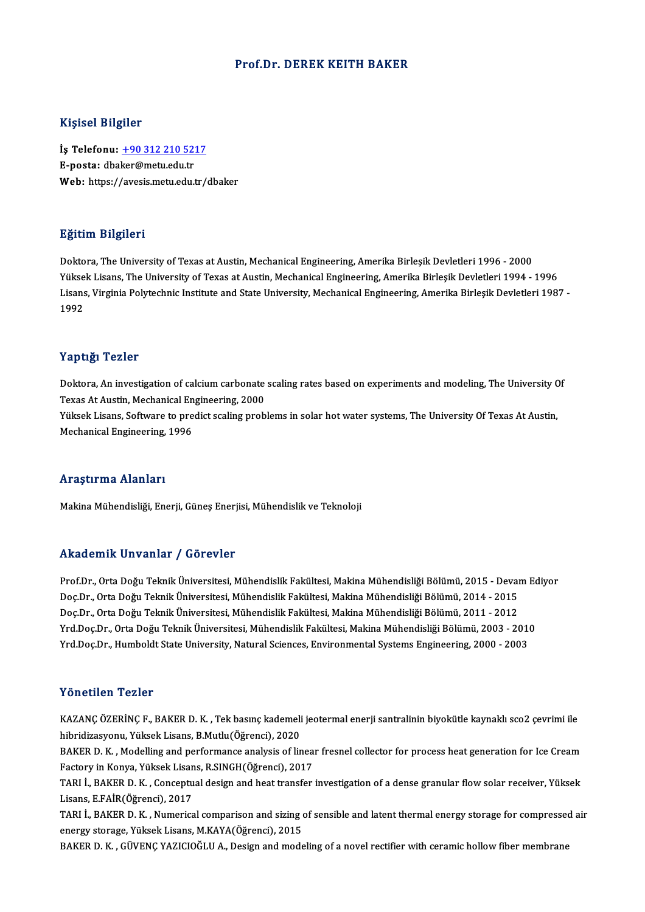### Prof.Dr. DEREK KEITH BAKER

#### Kişisel Bilgiler

Kişisel Bilgiler<br>İş Telefonu: <u>+90 312 210 5217</u><br>E nosta: dhakar@matu.edu.tr 11191001 Dirgitor<br>İş Telefonu: <u>+90 312 210 52:</u><br>E-posta: dba[ker@metu.edu.tr](tel:+90 312 210 5217) E-posta: dbaker@metu.edu.tr<br>Web: https://avesis.metu.edu.tr/dbaker

### Eğitim Bilgileri

Doktora, The University of Texas at Austin, Mechanical Engineering, Amerika Birleşik Devletleri 1996 - 2000 25.0000 2015.0000<br>Doktora, The University of Texas at Austin, Mechanical Engineering, Amerika Birleşik Devletleri 1996 - 2000<br>Yüksek Lisans, The University of Texas at Austin, Mechanical Engineering, Amerika Birleşik Devle Doktora, The University of Texas at Austin, Mechanical Engineering, Amerika Birleşik Devletleri 1996 - 2000<br>Yüksek Lisans, The University of Texas at Austin, Mechanical Engineering, Amerika Birleşik Devletleri 1994 - 1996<br> Yükse<br>Lisans<br>1992 Yaptığı Tezler

Yaptığı Tezler<br>Doktora, An investigation of calcium carbonate scaling rates based on experiments and modeling, The University Of<br>Taves At Austin, Machanical Engineering, 2000 Terperse<br>Doktora, An investigation of calcium carbonate<br>Texas At Austin, Mechanical Engineering, 2000<br>Viltael: Lisans, Seftunns to predict scaling preb Doktora, An investigation of calcium carbonate scaling rates based on experiments and modeling, The University C<br>Texas At Austin, Mechanical Engineering, 2000<br>Yüksek Lisans, Software to predict scaling problems in solar ho Texas At Austin, Mechanical Engineering, 2000<br>Yüksek Lisans, Software to predict scaling problems in solar hot water systems, The University Of Texas At Austin,<br>Mechanical Engineering, 1996

### Araştırma Alanları

Makina Mühendisliği, Enerji, Güneş Enerjisi, Mühendislik ve Teknoloji

### Akademik Unvanlar / Görevler

Prof.Dr., Orta Doğu Teknik Üniversitesi, Mühendislik Fakültesi, Makina Mühendisliği Bölümü, 2015 - Devam Ediyor rındu olirin "Əliv ulirdi" / "Əliv ovror"<br>Prof.Dr., Orta Doğu Teknik Üniversitesi, Mühendislik Fakültesi, Makina Mühendisliği Bölümü, 2015 - Devai<br>Doç.Dr., Orta Doğu Teknik Üniversitesi, Mühendislik Fakültesi, Makina Mühen Prof.Dr., Orta Doğu Teknik Üniversitesi, Mühendislik Fakültesi, Makina Mühendisliği Bölümü, 2015 - Devai<br>Doç.Dr., Orta Doğu Teknik Üniversitesi, Mühendislik Fakültesi, Makina Mühendisliği Bölümü, 2014 - 2015<br>Doç.Dr., Orta Doç.Dr., Orta Doğu Teknik Üniversitesi, Mühendislik Fakültesi, Makina Mühendisliği Bölümü, 2014 - 2015<br>Doç.Dr., Orta Doğu Teknik Üniversitesi, Mühendislik Fakültesi, Makina Mühendisliği Bölümü, 2011 - 2012<br>Yrd.Doç.Dr., Ort Doç.Dr., Orta Doğu Teknik Üniversitesi, Mühendislik Fakültesi, Makina Mühendisliği Bölümü, 2011 - 2012<br>Yrd.Doç.Dr., Orta Doğu Teknik Üniversitesi, Mühendislik Fakültesi, Makina Mühendisliği Bölümü, 2003 - 2010<br>Yrd.Doç.Dr.,

### Yönetilen Tezler

Yönetilen Tezler<br>KAZANÇ ÖZERİNÇ F., BAKER D. K. , Tek basınç kademeli jeotermal enerji santralinin biyokütle kaynaklı sco2 çevrimi ile<br>hihridiresyonu, Yüksek Lisans, B.Mutlu (Öğrensi), 2020 1 SHSEHSH 1 SHS:<br>KAZANÇ ÖZERİNÇ F., BAKER D. K. , Tek basınç kademeli<br>hibridizasyonu, Yüksek Lisans, B.Mutlu(Öğrenci), 2020<br>BAKER D. K., Modelling and performanee enelysis of lin KAZANÇ ÖZERİNÇ F., BAKER D. K. , Tek basınç kademeli jeotermal enerji santralinin biyokütle kaynaklı sco2 çevrimi ile<br>hibridizasyonu, Yüksek Lisans, B.Mutlu(Öğrenci), 2020<br>BAKER D. K. , Modelling and performance analysis o

hibridizasyonu, Yüksek Lisans, B.Mutlu(Öğrenci), 2020<br>BAKER D. K. , Modelling and performance analysis of linea<br>Factory in Konya, Yüksek Lisans, R.SINGH(Öğrenci), 2017<br>TABLL BAKER D. K., Consentual desirn and best transfor BAKER D. K. , Modelling and performance analysis of linear fresnel collector for process heat generation for Ice Cream<br>Factory in Konya, Yüksek Lisans, R.SINGH(Öğrenci), 2017<br>TARI İ., BAKER D. K. , Conceptual design and he

Factory in Konya, Yüksek Lisans, R.SINGH(Öğrenci), 2017<br>TARI İ., BAKER D. K. , Conceptual design and heat transfer investigation of a dense granular flow solar receiver, Yüksek<br>Lisans, E.FAİR(Öğrenci), 2017 TARI İ., BAKER D. K. , Conceptual design and heat transfer investigation of a dense granular flow solar receiver, Yüksek<br>Lisans, E.FAİR(Öğrenci), 2017<br>TARI İ., BAKER D. K. , Numerical comparison and sizing of sensible and

Lisans, E.FAİR(Öğrenci), 2017<br>TARI İ., BAKER D. K. , Numerical comparison and sizing of<br>energy storage, Yüksek Lisans, M.KAYA(Öğrenci), 2015<br>BAKER D. K., CÜVENC YAZICIQĞLU A., Desim and mode energy storage, Yüksek Lisans, M.KAYA(Öğrenci), 2015<br>BAKER D. K. , GÜVENÇ YAZICIOĞLU A., Design and modeling of a novel rectifier with ceramic hollow fiber membrane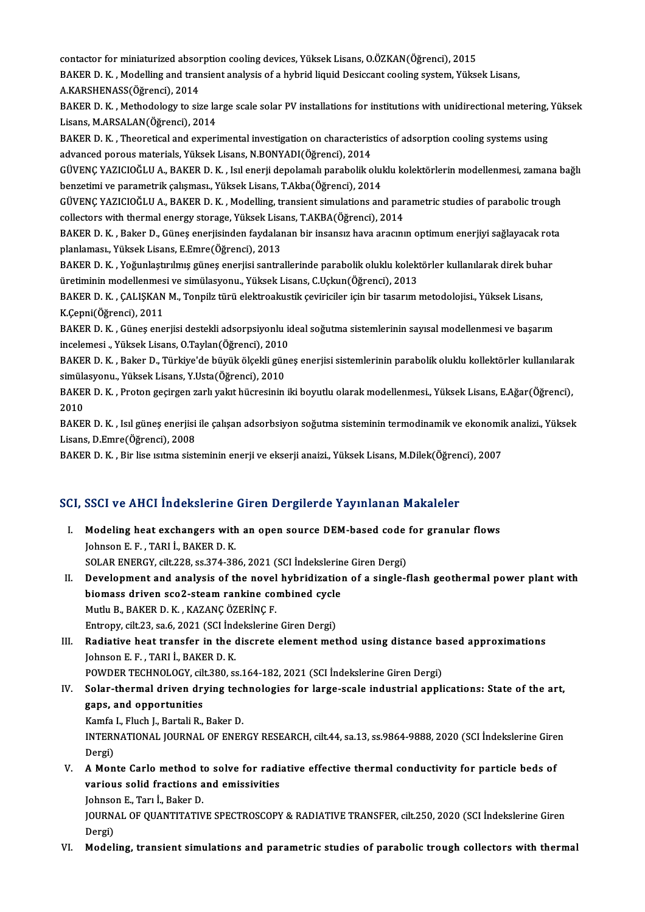contactor for miniaturized absorption cooling devices, Yüksek Lisans, O.ÖZKAN(Öğrenci), 2015<br>RAKER D. K., Modelling and transient analysis of a bybrid lisuid Desissant sooling system. Vülra

BAKER D. K. , Modelling and transient analysis of a hybrid liquid Desiccant cooling system, Yüksek Lisans,<br>A.KARSHENASS(Öğrenci), 2014 contactor for miniaturized absor<br>BAKER D. K. , Modelling and tran<br>A.KARSHENASS(Öğrenci), 2014<br>BAKER D. K. Mathodologu to air BAKER D. K. , Modelling and transient analysis of a hybrid liquid Desiccant cooling system, Yüksek Lisans,<br>A.KARSHENASS(Öğrenci), 2014<br>BAKER D. K. , Methodology to size large scale solar PV installations for institutions w

A.KARSHENASS(Öğrenci), 2014<br>BAKER D. K. , Methodology to size la<br>Lisans, M.ARSALAN(Öğrenci), 2014<br>BAKER D. K. - Theoratical and experi BAKER D. K. , Methodology to size large scale solar PV installations for institutions with unidirectional metering,<br>Lisans, M.ARSALAN(Öğrenci), 2014<br>BAKER D. K. , Theoretical and experimental investigation on characteristi

Lisans, M.ARSALAN(Öğrenci), 2014<br>BAKER D. K. , Theoretical and experimental investigation on characteris<br>advanced porous materials, Yüksek Lisans, N.BONYADI(Öğrenci), 2014<br>CÜVENC YAZICIQĞLU A. BAKER D. K. Jol operii danala BAKER D. K. , Theoretical and experimental investigation on characteristics of adsorption cooling systems using<br>advanced porous materials, Yüksek Lisans, N.BONYADI(Öğrenci), 2014<br>GÜVENÇ YAZICIOĞLU A., BAKER D. K. , Isıl en

advanced porous materials, Yüksek Lisans, N.BONYADI(Öğrenci), 2014<br>GÜVENÇ YAZICIOĞLU A., BAKER D. K. , Isıl enerji depolamalı parabolik oluklu kolektörlerin modellenmesi, zamana bağlı<br>benzetimi ve parametrik çalışması., Yü GÜVENÇ YAZICIOĞLU A., BAKER D. K. , Isıl enerji depolamalı parabolik oluklu kolektörlerin modellenmesi, zamana b<br>benzetimi ve parametrik çalışması., Yüksek Lisans, T.Akba(Öğrenci), 2014<br>GÜVENÇ YAZICIOĞLU A., BAKER D. K. ,

benzetimi ve parametrik çalışması., Yüksek Lisans, T.Akba(Öğrenci), 2014<br>GÜVENÇ YAZICIOĞLU A., BAKER D. K. , Modelling, transient simulations and par<br>collectors with thermal energy storage, Yüksek Lisans, T.AKBA(Öğrenci), GÜVENÇ YAZICIOĞLU A., BAKER D. K. , Modelling, transient simulations and parametric studies of parabolic trough<br>collectors with thermal energy storage, Yüksek Lisans, T.AKBA(Öğrenci), 2014<br>BAKER D. K. , Baker D., Güneş ene

collectors with thermal energy storage, Yüksek Lisans, T.AKBA(Öğrenci), 2014<br>BAKER D. K. , Baker D., Güneş enerjisinden faydalanan bir insansız hava aracının optimum enerjiyi sağlayacak rota<br>planlaması., Yüksek Lisans, E.E BAKER D. K. , Baker D., Güneş enerjisinden faydalanan bir insansız hava aracının optimum enerjiyi sağlayacak rot<br>planlaması., Yüksek Lisans, E.Emre(Öğrenci), 2013<br>BAKER D. K. , Yoğunlaştırılmış güneş enerjisi santrallerind

planlaması., Yüksek Lisans, E.Emre(Öğrenci), 2013<br>BAKER D. K. , Yoğunlaştırılmış güneş enerjisi santrallerinde parabolik oluklu kolekt<br>üretiminin modellenmesi ve simülasyonu., Yüksek Lisans, C.Uçkun(Öğrenci), 2013<br>BAKER D. BAKER D. K. , Yoğunlaştırılmış güneş enerjisi santrallerinde parabolik oluklu kolektörler kullanılarak direk buh<br>üretiminin modellenmesi ve simülasyonu., Yüksek Lisans, C.Uçkun(Öğrenci), 2013<br>BAKER D. K. , ÇALIŞKAN M., Ton

üretiminin modellenmesi ve simülasyonu., Yüksek Lisans, C.Uçkun(Öğrenci), 2013<br>BAKER D. K. , ÇALIŞKAN M., Tonpilz türü elektroakustik çeviriciler için bir tasarım metodolojisi., Yüksek Lisans,<br>K.Çepni(Öğrenci), 2011 BAKER D. K. , ÇALIŞKAN M., Tonpilz türü elektroakustik çeviriciler için bir tasarım metodolojisi., Yüksek Lisans,<br>K.Çepni(Öğrenci), 2011<br>BAKER D. K. , Güneş enerjisi destekli adsorpsiyonlu ideal soğutma sistemlerinin sayıs

K.Çepni(Öğrenci), 2011<br>BAKER D. K. , Güneş enerjisi destekli adsorpsiyonlu io<br>incelemesi ., Yüksek Lisans, O.Taylan(Öğrenci), 2010<br>BAKER D. K., Polsar D., Türkiyo'de büyült ölgekli güne BAKER D. K. , Güneş enerjisi destekli adsorpsiyonlu ideal soğutma sistemlerinin sayısal modellenmesi ve başarım<br>incelemesi ., Yüksek Lisans, O.Taylan(Öğrenci), 2010<br>BAKER D. K. , Baker D., Türkiye'de büyük ölçekli güneş en

incelemesi ., Yüksek Lisans, O.Taylan(Öğrenci), 2010<br>BAKER D. K. , Baker D., Türkiye'de büyük ölçekli güneş enerjisi sistemlerinin parabolik oluklu kollektörler kullanılarak<br>simülasyonu., Yüksek Lisans, Y.Usta(Öğrenci), 20 BAKER D. K. , Baker D., Türkiye'de büyük ölçekli güneş enerjisi sistemlerinin parabolik oluklu kollektörler kullanılarak<br>simülasyonu., Yüksek Lisans, Y.Usta(Öğrenci), 2010<br>BAKER D. K. , Proton geçirgen zarlı yakıt hücresin simülasyonu, Yüksek Lisans, Y.Usta(Öğrenci), 2010

BAKER D. K. , Proton geçirgen zarlı yakıt hücresinin iki boyutlu olarak modellenmesi., Yüksek Lisans, E.Ağar(Öğrenci),<br>2010<br>BAKER D. K. , Isıl güneş enerjisi ile çalışan adsorbsiyon soğutma sisteminin termodinamik ve ekono

2010<br>BAKER D. K. , Isıl güneş enerjisi<br>Lisans, D.Emre(Öğrenci), 2008<br>BAKER D. K... Bir lise ısıtma sist. BAKER D. K. , Isıl güneş enerjisi ile çalışan adsorbsiyon soğutma sisteminin termodinamik ve ekonomil<br>Lisans, D.Emre(Öğrenci), 2008<br>BAKER D. K. , Bir lise ısıtma sisteminin enerji ve ekserji anaizi., Yüksek Lisans, M.Dilek

# BAKER D. K., BII'lise Isluma sisteminin enerji ve ekserji analzı., Tüksek Lisans, M.Dilek (Oğren<br>SCI, SSCI ve AHCI İndekslerine Giren Dergilerde Yayınlanan Makaleler

- CI, SSCI ve AHCI İndekslerine Giren Dergilerde Yayınlanan Makaleler<br>I. Modeling heat exchangers with an open source DEM-based code for granular flows<br>Johnson E.E., TABLİ, BAKER D.K. Modeling heat exchangers with<br>Johnson E. F. , TARI İ., BAKER D. K.<br>SOLAR ENERCY silt 228, 22.274, 28 Modeling heat exchangers with an open source DEM-based code<br>Johnson E. F., TARI İ., BAKER D. K.<br>SOLAR ENERGY, cilt.228, ss.374-386, 2021 (SCI İndekslerine Giren Dergi)<br>Develenment and analysis of the noval bybnidiration of Johnson E. F. , TARI İ., BAKER D. K.<br>SOLAR ENERGY, cilt.228, ss.374-386, 2021 (SCI İndekslerine Giren Dergi)<br>II. Development and analysis of the novel hybridization of a single-flash geothermal power plant with SOLAR ENERGY, cilt.228, ss.374-386, 2021 (SCI Indekslerine Giren Dergi)
- Mutlu B., BAKER D. K., KAZANÇ ÖZERİNÇ F. biomass driven sco2-steam rankine combined cycle Mutlu B., BAKER D. K. , KAZANÇ ÖZERİNÇ F.<br>Entropy, cilt.23, sa.6, 2021 (SCI İndekslerine Giren Dergi)<br>III. Radiative heat transfer in the discrete element method using distance based approximations<br>Johnson E.E., TABLİ, BAK
- Entropy, cilt.23, sa.6, 2021 (SCI İndekslerine Giren Dergi)<br>Radiative heat transfer in the discrete element method using distance b<br>Johnson E. F. , TARI İ., BAKER D. K.<br>POWDER TECHNOLOGY, cilt.380, ss.164-182, 2021 (SCI İn Radiative heat transfer in the discrete element method using distance bayon (and the discrete element method using distance bayon)<br>POWDER TECHNOLOGY, cilt.380, ss.164-182, 2021 (SCI İndekslerine Giren Dergi)<br>Selar thermal

Johnson E. F., TARI İ., BAKER D. K.<br>POWDER TECHNOLOGY, cilt.380, ss.164-182, 2021 (SCI İndekslerine Giren Dergi)<br>IV. Solar-thermal driven drying technologies for large-scale industrial applications: State of the art,<br>gans POWDER TECHNOLOGY, cil<mark>f</mark><br>Solar-thermal driven dry<br>gaps, and opportunities<br>Kamfa L. Elush L. Bartali B. Solar-thermal driven drying tecl<br>gaps, and opportunities<br>Kamfa I., Fluch J., Bartali R., Baker D.<br>INTERNATIONAL JOURNAL OF ENER

gaps, and opportunities<br>Kamfa I., Fluch J., Bartali R., Baker D.<br>INTERNATIONAL JOURNAL OF ENERGY RESEARCH, cilt.44, sa.13, ss.9864-9888, 2020 (SCI İndekslerine Giren Kamfa<br>INTERI<br>Dergi)<br>A Mon INTERNATIONAL JOURNAL OF ENERGY RESEARCH, cilt.44, sa.13, ss.9864-9888, 2020 (SCI Indekslerine Gire<br>Dergi)<br>V. A Monte Carlo method to solve for radiative effective thermal conductivity for particle beds of<br>warious solid fr

Dergi)<br>V. A Monte Carlo method to solve for radiative effective thermal conductivity for particle beds of<br>various solid fractions and emissivities

JohnsonE.,Tarı İ.,BakerD.

various solid fractions and emissivities<br>Johnson E., Tarı İ., Baker D.<br>JOURNAL OF QUANTITATIVE SPECTROSCOPY & RADIATIVE TRANSFER, cilt.250, 2020 (SCI İndekslerine Giren<br>Persi) Johnso<br>JOURN<br>Dergi)<br>Model JOURNAL OF QUANTITATIVE SPECTROSCOPY & RADIATIVE TRANSFER, cilt.250, 2020 (SCI İndekslerine Giren<br>Dergi)<br>VI. Modeling, transient simulations and parametric studies of parabolic trough collectors with thermal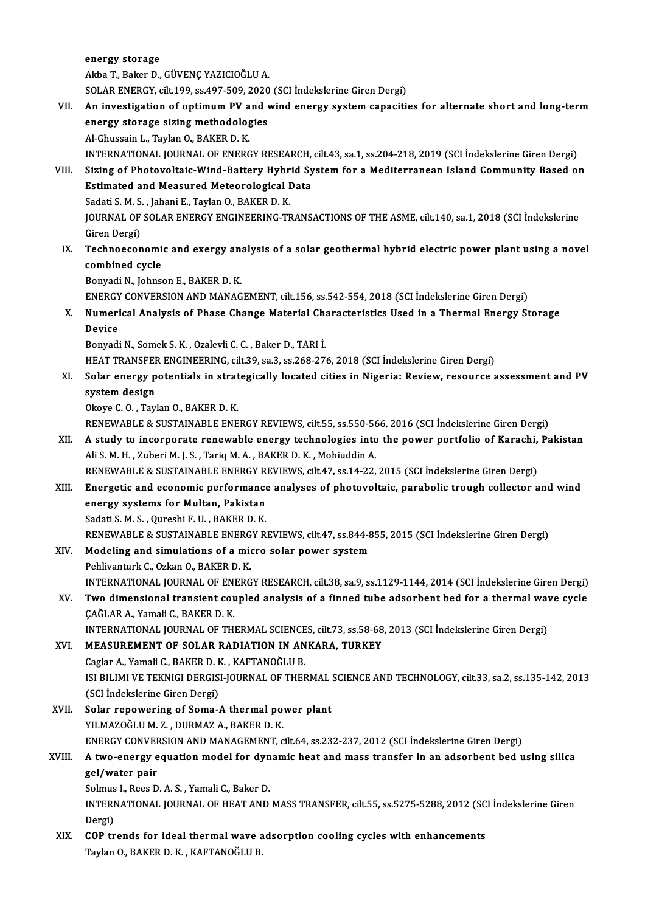energy storage

AkbaT.,BakerD.,GÜVENÇYAZICIOĞLUA.

SOLAR ENERGY, cilt.199, ss.497-509, 2020 (SCI İndekslerine Giren Dergi)

- Akba T., Baker D., GÜVENÇ YAZICIOĞLU A.<br>SOLAR ENERGY, cilt.199, ss.497-509, 2020 (SCI İndekslerine Giren Dergi)<br>VII. An investigation of optimum PV and wind energy system capacities for alternate short and long-term<br>SP SOLAR ENERGY, cilt.199, ss.497-509, 2020<br>An investigation of optimum PV and v<br>energy storage sizing methodologies<br>Al Chussain L. Taylan Q. BAKEP D. K. An investigation of optimum PV a<br>energy storage sizing methodolog<br>Al-Ghussain L., Taylan O., BAKER D. K.<br>INTERNATIONAL JOURNAL OF ENERC energy storage sizing methodologies<br>Al-Ghussain L., Taylan O., BAKER D. K.<br>INTERNATIONAL JOURNAL OF ENERGY RESEARCH, cilt.43, sa.1, ss.204-218, 2019 (SCI İndekslerine Giren Dergi)<br>Siring of Photovoltais Wind Battory Hybrid Al-Ghussain L., Taylan O., BAKER D. K.<br>INTERNATIONAL JOURNAL OF ENERGY RESEARCH, cilt.43, sa.1, ss.204-218, 2019 (SCI İndekslerine Giren Dergi)<br>VIII. Sizing of Photovoltaic-Wind-Battery Hybrid System for a Mediterranea
- INTERNATIONAL JOURNAL OF ENERGY RESEARCH,<br>Sizing of Photovoltaic-Wind-Battery Hybrid Sy<br>Estimated and Measured Meteorological Data<br>Sedati S.M. S., Jabani E. Taylan O. BAKER D.K. Sizing of Photovoltaic-Wind-Battery Hybr<br>Estimated and Measured Meteorological I<br>Sadati S. M. S. , Jahani E., Taylan O., BAKER D. K.<br>JOUPNAL OF SOLAR ENERCY ENCINEERING TE Estimated and Measured Meteorological Data<br>Sadati S. M. S. , Jahani E., Taylan O., BAKER D. K.<br>JOURNAL OF SOLAR ENERGY ENGINEERING-TRANSACTIONS OF THE ASME, cilt.140, sa.1, 2018 (SCI İndekslerine<br>Giren Dergi) Sadati S. M. S., Jahani E., Taylan O., BAKER D. K. JOURNAL OF SOLAR ENERGY ENGINEERING-TRANSACTIONS OF THE ASME, cilt.140, sa.1, 2018 (SCI İndekslerine<br>Giren Dergi)<br>IX. Technoeconomic and exergy analysis of a solar geothermal hybrid electric power plant using a novel<br>combi
- combined cycle<br>Bonyadi N., Johnson E., BAKER D. K. Technoeconomic and exergy an:<br>combined cycle<br>Bonyadi N., Johnson E., BAKER D. K.<br>ENEDCY CONVERSION AND MANAC combined cycle<br>Bonyadi N., Johnson E., BAKER D. K.<br>ENERGY CONVERSION AND MANAGEMENT, cilt.156, ss.542-554, 2018 (SCI İndekslerine Giren Dergi)<br>Numerisel Anelysis of Bhase Change Meterial Chanasteristics Used in a Thermal E

# X. Numerical Analysis of Phase Change Material Characteristics Used in a Thermal Energy Storage<br>Device ENERGY<br>Numeri<br>Device<br><sup>Ronuedi</sub></sup> Device<br>Bonyadi N., Somek S. K. , Ozalevli C. C. , Baker D., TARI İ.<br>HEAT TRANSFER ENGINEERING, cilt.39, sa.3, ss.268-276, 2018 (SCI İndekslerine Giren Dergi)<br>Selar energy natentiale in etrategiselly legated gities in Niger

Bonyadi N., Somek S. K., Ozalevli C. C., Baker D., TARI İ.

## Bonyadi N., Somek S. K. , Ozalevli C. C. , Baker D., TARI İ.<br>HEAT TRANSFER ENGINEERING, cilt.39, sa.3, ss.268-276, 2018 (SCI İndekslerine Giren Dergi)<br>XI. Solar energy potentials in strategically located cities in Nige HEAT TRANSFER<br>Solar energy p<br>system design<br>Okaye C.O. Tavl **Solar energy potentials in strat<br>system design<br>Okoye C.O., Taylan O., BAKER D. K.<br>PENEWAPLE & SUSTAINAPLE ENE** system design<br>Okoye C. O. , Taylan O., BAKER D. K.<br>RENEWABLE & SUSTAINABLE ENERGY REVIEWS, cilt.55, ss.550-566, 2016 (SCI İndekslerine Giren Dergi)<br>A study ta incernarate renewable energy technologies inte the newer partfo

- Okoye C. O. , Taylan O., BAKER D. K.<br>RENEWABLE & SUSTAINABLE ENERGY REVIEWS, cilt.55, ss.550-566, 2016 (SCI İndekslerine Giren Dergi)<br>XII. A study to incorporate renewable energy technologies into the power portfolio o RENEWABLE & SUSTAINABLE ENERGY REVIEWS, cilt.55, ss.550-56<br>A study to incorporate renewable energy technologies into<br>Ali S. M. H. , Zuberi M. J. S. , Tariq M. A. , BAKER D. K. , Mohiuddin A.<br>RENEWARLE & SUSTAINARLE ENERCY A study to incorporate renewable energy technologies into the power portfolio of Karachi,<br>Ali S. M. H. , Zuberi M. J. S. , Tariq M. A. , BAKER D. K. , Mohiuddin A.<br>RENEWABLE & SUSTAINABLE ENERGY REVIEWS, cilt.47, ss.14-22, Ali S. M. H. , Zuberi M. J. S. , Tariq M. A. , BAKER D. K. , Mohiuddin A.<br>RENEWABLE & SUSTAINABLE ENERGY REVIEWS, cilt.47, ss.14-22, 2015 (SCI İndekslerine Giren Dergi)<br>XIII. Energetic and economic performance analyses
- RENEWABLE & SUSTAINABLE ENERGY R<br>Energetic and economic performance<br>energy systems for Multan, Pakistan Energetic and economic performance<br>energy systems for Multan, Pakistan<br>Sadati S. M. S. , Qureshi F. U. , BAKER D. K.<br>PENEWAPLE & SUSTAINAPLE ENERCY P.

Sadati S. M. S. , Qureshi F. U. , BAKER D. K.<br>RENEWABLE & SUSTAINABLE ENERGY REVIEWS, cilt.47, ss.844-855, 2015 (SCI İndekslerine Giren Dergi)

- Sadati S. M. S., Qureshi F. U., BAKER D. K.<br>RENEWABLE & SUSTAINABLE ENERGY REVIEWS, cilt.47, ss.844-8<br>XIV. Modeling and simulations of a micro solar power system
- RENEWABLE & SUSTAINABLE ENERG<br>Modeling and simulations of a mid<br>Pehlivanturk C., Ozkan O., BAKER D. K.<br>INTERNATIONAL JOURNAL OF ENERG Modeling and simulations of a micro solar power system<br>Pehlivanturk C., Ozkan O., BAKER D. K.<br>INTERNATIONAL JOURNAL OF ENERGY RESEARCH, cilt.38, sa.9, ss.1129-1144, 2014 (SCI İndekslerine Giren Dergi)<br>Tug dimensional trans Pehlivanturk C., Ozkan O., BAKER D. K.<br>INTERNATIONAL JOURNAL OF ENERGY RESEARCH, cilt.38, sa.9, ss.1129-1144, 2014 (SCI İndekslerine Giren Dergi)<br>XV. Two dimensional transient coupled analysis of a finned tube adsorbent be
- INTERNATIONAL JOURNAL OF EN<br><mark>Two dimensional transient cou</mark><br>ÇAĞLAR A., Yamali C., BAKER D. K.<br>INTERNATIONAL JOURNAL OF TH Two dimensional transient coupled analysis of a finned tube adsorbent bed for a thermal wave cycle<br>ÇAĞLAR A., Yamali C., BAKER D. K.<br>INTERNATIONAL JOURNAL OF THERMAL SCIENCES, cilt.73, ss.58-68, 2013 (SCI İndekslerine Gire

CAĞLAR A., Yamali C., BAKER D. K.<br>INTERNATIONAL JOURNAL OF THERMAL SCIENCES, cilt.73, ss.58-68<br>XVI. MEASUREMENT OF SOLAR RADIATION IN ANKARA, TURKEY INTERNATIONAL JOURNAL OF THERMAL SCIENCE<br>MEASUREMENT OF SOLAR RADIATION IN AN<br>Caglar A., Yamali C., BAKER D. K. , KAFTANOĞLU B.<br>ISLEVI IMLVE TEKNICL DERCISLIQUENAL OF THEF ISI BILIMI VE TEKNIGI DERGISI-JOURNAL OF THERMAL SCIENCE AND TECHNOLOGY, cilt.33, sa.2, ss.135-142, 2013<br>(SCI İndekslerine Giren Dergi) Caglar A., Yamali C., BAKER D. K., KAFTANOĞLU B. ISI BILIMI VE TEKNIGI DERGISI-JOURNAL OF THERMAL<br>(SCI indekslerine Giren Dergi)<br>XVII. Solar repowering of Soma-A thermal power plant<br>VII. NAZOČLIJM Z DIPMAZA PAKER D K

(SCI İndekslerine Giren Dergi)<br>Solar repowering of Soma-A thermal po<br>YILMAZOĞLU M. Z. , DURMAZ A., BAKER D. K.<br>ENEPCY CONVERSION AND MANACEMENT G Solar repowering of Soma-A thermal power plant<br>YILMAZOĞLU M. Z. , DURMAZ A., BAKER D. K.<br>ENERGY CONVERSION AND MANAGEMENT, cilt.64, ss.232-237, 2012 (SCI İndekslerine Giren Dergi)<br>A ture energy equation model for dynamic b

# YILMAZOĞLU M. Z. , DURMAZ A., BAKER D. K.<br>ENERGY CONVERSION AND MANAGEMENT, cilt.64, ss.232-237, 2012 (SCI İndekslerine Giren Dergi)<br>XVIII. A two-energy equation model for dynamic heat and mass transfer in an adsorbent ENERGY CONVER<br>A two-energy e<br>gel/water pair<br>Selmus L Bees D A two-energy equation model for dyn<br>gel/water pair<br>Solmus I., Rees D. A. S. , Yamali C., Baker D.<br>INTERNATIONAL JOURNAL OF HEAT AND

gel/water pair<br>Solmus I., Rees D. A. S. , Yamali C., Baker D.<br>INTERNATIONAL JOURNAL OF HEAT AND MASS TRANSFER, cilt.55, ss.5275-5288, 2012 (SCI İndekslerine Giren Solmus<br>INTERI<br>Dergi)<br>COP tr INTERNATIONAL JOURNAL OF HEAT AND MASS TRANSFER, cilt.55, ss.5275-5288, 2012 (SC<br>Dergi)<br>XIX. COP trends for ideal thermal wave adsorption cooling cycles with enhancements<br>Taylan O, BAKER D, K. KAETANOĞLU B

Dergi)<br><mark>COP trends for ideal thermal wave</mark> a<br>Taylan O., BAKER D. K. , KAFTANOĞLU B.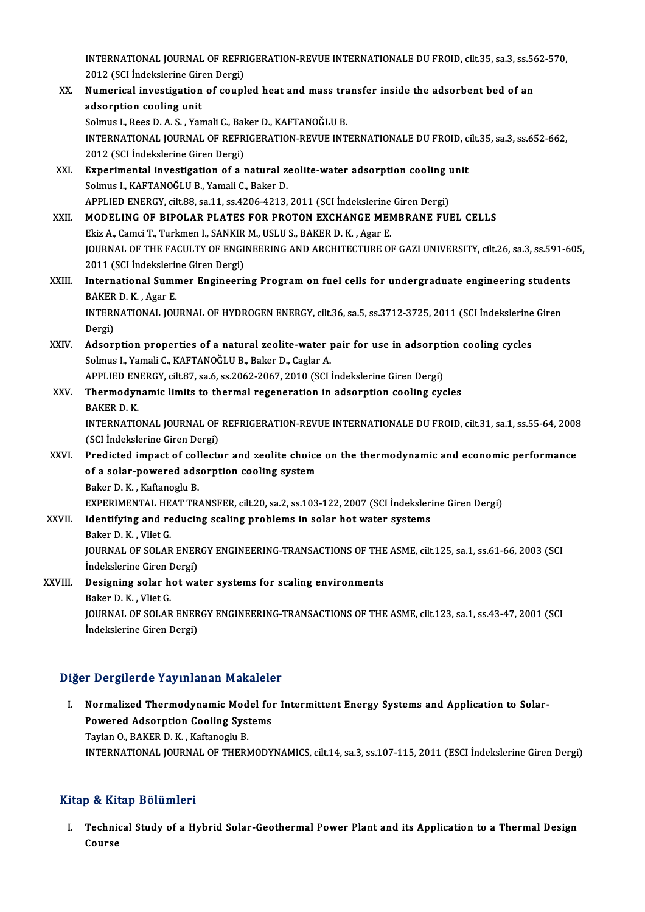INTERNATIONAL JOURNAL OF REFRIGERATION-REVUE INTERNATIONALE DU FROID, cilt.35, sa.3, ss.562-570,<br>2012 (SCLIndelialarine Giron Dergi) 1<br>2012 (SCI İndekslerine Giren Dergi)<br>Numanisal inusstization of sounl INTERNATIONAL JOURNAL OF REFRIGERATION-REVUE INTERNATIONALE DU FROID, cilt.35, sa.3, ss.56<br>2012 (SCI Indekslerine Giren Dergi)<br>XX. Numerical investigation of coupled heat and mass transfer inside the adsorbent bed of an

- 2012 (SCI Indekslerine Giren Dergi)<br>XX. Numerical investigation of coupled heat and mass transfer inside the adsorbent bed of an<br>adsorption cooling unit Solmus I., Rees D. A. S., Yamali C., Baker D., KAFTANOĞLU B. adsorption cooling unit<br>Solmus I., Rees D. A. S. , Yamali C., Baker D., KAFTANOĞLU B.<br>INTERNATIONAL JOURNAL OF REFRIGERATION-REVUE INTERNATIONALE DU FROID, cilt.35, sa.3, ss.652-662,<br>2012 (SCL Indekslerine Giren Dergi) Solmus I., Rees D. A. S. , Yamali C., Bal<br>INTERNATIONAL JOURNAL OF REFR<br>2012 (SCI İndekslerine Giren Dergi)<br>Exporimental investisation of a r INTERNATIONAL JOURNAL OF REFRIGERATION-REVUE INTERNATIONALE DU FROID, c<br>2012 (SCI Indekslerine Giren Dergi)<br>XXI. Experimental investigation of a natural zeolite-water adsorption cooling unit<br>Solmus L KAETANOČLU B. Yamali G
- 2012 (SCI İndekslerine Giren Dergi)<br>Experimental investigation of a natural za<br>Solmus I., KAFTANOĞLU B., Yamali C., Baker D.<br>APRLIED ENERCY silt 88, 83,11, ss 4206,4212. Experimental investigation of a natural zeolite-water adsorption cooling u<br>Solmus I., KAFTANOĞLU B., Yamali C., Baker D.<br>APPLIED ENERGY, cilt.88, sa.11, ss.4206-4213, 2011 (SCI İndekslerine Giren Dergi)<br>MODELING OF PIROLAR Solmus I., KAFTANOĞLU B., Yamali C., Baker D.<br>APPLIED ENERGY, cilt.88, sa.11, ss.4206-4213, 2011 (SCI İndekslerine Giren Dergi)<br>XXII. MODELING OF BIPOLAR PLATES FOR PROTON EXCHANGE MEMBRANE FUEL CELLS
- APPLIED ENERGY, cilt.88, sa.11, ss.4206-4213, 2011 (SCI İndekslerine<br>MODELING OF BIPOLAR PLATES FOR PROTON EXCHANGE MEN<br>Ekiz A., Camci T., Turkmen I., SANKIR M., USLU S., BAKER D. K. , Agar E.<br>JOUPNAL OF THE EACULTY OF ENC Ekiz A., Camci T., Turkmen I., SANKIR M., USLU S., BAKER D. K. , Agar E.<br>JOURNAL OF THE FACULTY OF ENGINEERING AND ARCHITECTURE OF GAZI UNIVERSITY, cilt.26, sa.3, ss.591-605, Ekiz A., Camci T., Turkmen I., SANKIR<br>JOURNAL OF THE FACULTY OF ENGI<br>2011 (SCI İndekslerine Giren Dergi)<br>International Summer Engineerii JOURNAL OF THE FACULTY OF ENGINEERING AND ARCHITECTURE OF GAZI UNIVERSITY, cilt.26, sa.3, ss.591-6<br>2011 (SCI İndekslerine Giren Dergi)<br>XXIII. International Summer Engineering Program on fuel cells for undergraduate enginee
- 2011 (SCI İndekslerin<br>International Sumr<br>BAKER D. K. , Agar E.<br>INTERNATIONAL IOU International Summer Engineering Program on fuel cells for undergraduate engineering student<br>BAKER D. K. , Agar E.<br>INTERNATIONAL JOURNAL OF HYDROGEN ENERGY, cilt.36, sa.5, ss.3712-3725, 2011 (SCI İndekslerine Giren<br>Persi) BAKER D. K. , Agar E.<br>INTERNATIONAL JOURNAL OF HYDROGEN ENERGY, cilt.36, sa.5, ss.3712-3725, 2011 (SCI İndekslerine Giren<br>Dergi)
- INTERNATIONAL JOURNAL OF HYDROGEN ENERGY, cilt.36, sa.5, ss.3712-3725, 2011 (SCI İndekslerine<br>Dergi)<br>XXIV. Adsorption properties of a natural zeolite-water pair for use in adsorption cooling cycles<br>Selmual Xameli G. KAETAN Dergi)<br>Adsorption properties of a natural zeolite-water <sub>]</sub><br>Solmus I., Yamali C., KAFTANOĞLU B., Baker D., Caglar A.<br>APRLIED ENERCY, silt 97, 82 & 82,2062, 2067, 2010 (SCL) Adsorption properties of a natural zeolite-water pair for use in adsorpti<br>Solmus I., Yamali C., KAFTANOĞLU B., Baker D., Caglar A.<br>APPLIED ENERGY, cilt.87, sa.6, ss.2062-2067, 2010 (SCI İndekslerine Giren Dergi)<br>Thermoduna

APPLIED ENERGY, cilt.87, sa.6, ss.2062-2067, 2010 (SCI Indekslerine Giren Dergi)

# Solmus I., Yamali C., KAFTANOĞLU B., Baker D., Caglar A.<br>APPLIED ENERGY, cilt.87, sa.6, ss.2062-2067, 2010 (SCI İndekslerine Giren Dergi)<br>XXV. Thermodynamic limits to thermal regeneration in adsorption cooling cycles<br>B Thermodynamic limits to thermal regeneration in adsorption cooling cycles<br>BAKER D. K.<br>INTERNATIONAL JOURNAL OF REFRIGERATION-REVUE INTERNATIONALE DU FROID, cilt.31, sa.1, ss.55-64, 2008<br>(SCLIndekslerine Ciren Dersi) BAKER D. K.<br>INTERNATIONAL JOURNAL OF<br>(SCI İndekslerine Giren Dergi)<br>Prodisted imnast of sellests

INTERNATIONAL JOURNAL OF REFRIGERATION-REVUE INTERNATIONALE DU FROID, cilt.31, sa.1, ss.55-64, 2008<br>(SCI Indekslerine Giren Dergi)<br>XXVI. Predicted impact of collector and zeolite choice on the thermodynamic and economic pe

# (SCI İndekslerine Giren Dergi)<br>Predicted impact of collector and zeolite choice<br>of a solar-powered adsorption cooling system<br>Peker D.K., Keftaneglu P. Predicted impact of col<br>of a solar-powered ads<br>Baker D. K. , Kaftanoglu B.<br>EXPEDIMENTAL HEAT TR. of a solar-powered adsorption cooling system<br>Baker D. K. , Kaftanoglu B.<br>EXPERIMENTAL HEAT TRANSFER, cilt.20, sa.2, ss.103-122, 2007 (SCI İndekslerine Giren Dergi)<br>Identifying and reducing acaling problems in solar bet wat

EXPERIMENTAL HE<br>Identifying and re<br>Baker D. K. , Vliet G.<br>JOUPNAL OF SOLAR

# Baker D. K., Kaftanoglu B.<br>EXPERIMENTAL HEAT TRANSFER, cilt.20, sa.2, ss.103-122, 2007 (SCI İndeksler<br>XXVII. Identifying and reducing scaling problems in solar hot water systems<br>Baker D. K., Vliet G.

Identifying and reducing scaling problems in solar hot water systems<br>Baker D. K. , Vliet G.<br>JOURNAL OF SOLAR ENERGY ENGINEERING-TRANSACTIONS OF THE ASME, cilt.125, sa.1, ss.61-66, 2003 (SCI Baker D. K. , Vliet G.<br>JOURNAL OF SOLAR ENER<br>İndekslerine Giren Dergi)<br>Dosigning solar bot wa JOURNAL OF SOLAR ENERGY ENGINEERING-TRANSACTIONS OF THE<br>indekslerine Giren Dergi)<br>XXVIII. Designing solar hot water systems for scaling environments<br>Bakan D. K., Vliet G.

## Indekslerine Giren Dergi)<br>XXVIII. Designing solar hot water systems for scaling environments<br>Baker D. K. , Vliet G. Designing solar hot water systems for scaling environments<br>Baker D. K. , Vliet G.<br>JOURNAL OF SOLAR ENERGY ENGINEERING-TRANSACTIONS OF THE ASME, cilt.123, sa.1, ss.43-47, 2001 (SCI Baker D. K. , Vliet G.<br>JOURNAL OF SOLAR ENER<br>İndekslerine Giren Dergi)

# İndekslerine Giren Dergi)<br>Diğer Dergilerde Yayınlanan Makaleler

Iger Dergilerde Yayınlanan Makaleler<br>I. Normalized Thermodynamic Model for Intermittent Energy Systems and Application to Solar-<br>Rowared Adserntion Cooling Systems Powered Adsorption Cooling Systems<br>Powered Adsorption Cooling Systems<br>Taylan O, BAKER D, K., Kaftanaghi B Normalized Thermodynamic Mod<br>Powered Adsorption Cooling Syst<br>Taylan O., BAKER D. K. , Kaftanoglu B.<br>INTERNATIONAL JOURNAL OF THERN Powered Adsorption Cooling Systems<br>Taylan O., BAKER D. K. , Kaftanoglu B.<br>INTERNATIONAL JOURNAL OF THERMODYNAMICS, cilt.14, sa.3, ss.107-115, 2011 (ESCI İndekslerine Giren Dergi)

## Kitap & Kitap Bölümleri

itap & Kitap Bölümleri<br>I. Technical Study of a Hybrid Solar-Geothermal Power Plant and its Application to a Thermal Design<br>Course pet III<br>Techni<br>Course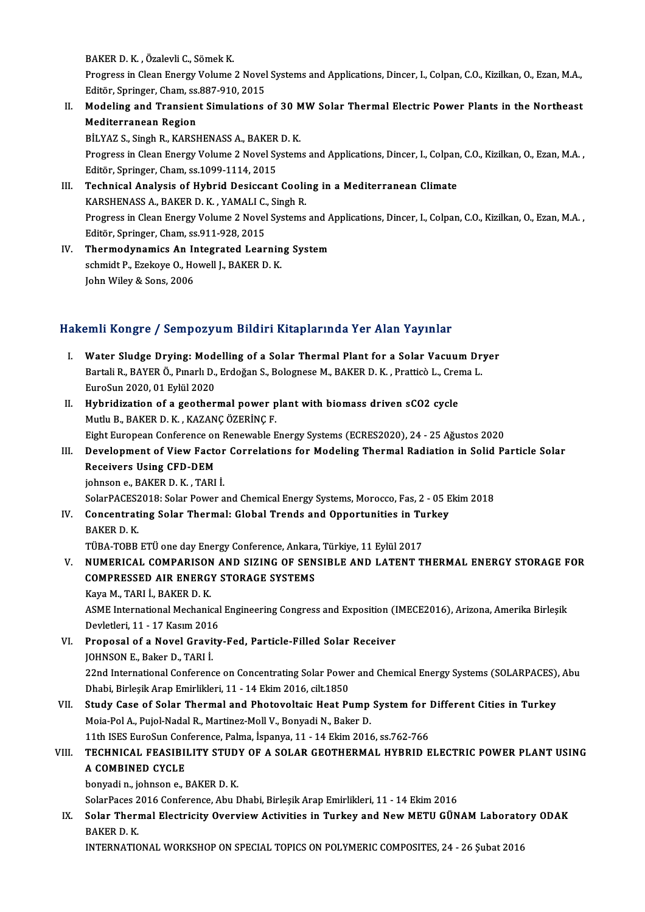BAKERD.K. ,ÖzalevliC.,SömekK.

BAKER D. K. , Özalevli C., Sömek K.<br>Progress in Clean Energy Volume 2 Novel Systems and Applications, Dincer, I., Colpan, C.O., Kizilkan, O., Ezan, M.A.,<br>Editën, Springer, Cham, 20,997, 919, 2015 BAKER D. K. , Özalevli C., Sömek K.<br>Progress in Clean Energy Volume 2 Novel<br>Editör, Springer, Cham, ss.887-910, 2015<br>Medeling and Transiant Simulations Progress in Clean Energy Volume 2 Novel Systems and Applications, Dincer, I., Colpan, C.O., Kizilkan, O., Ezan, M.A.,<br>Editör, Springer, Cham, ss.887-910, 2015<br>II. Modeling and Transient Simulations of 30 MW Solar Thermal E

# Editör, Springer, Cham, ss.<br>Modeling and Transien<br>Mediterranean Region<br>Pil VA7 S. Singh P. KAPSI Modeling and Transient Simulations of 30 M<br>Mediterranean Region<br>BİLYAZ S., Singh R., KARSHENASS A., BAKER D. K.<br>Progress in Clean Energy Volume 2 Nevel System

Mediterranean Region<br>BİLYAZ S., Singh R., KARSHENASS A., BAKER D. K.<br>Progress in Clean Energy Volume 2 Novel Systems and Applications, Dincer, I., Colpan, C.O., Kizilkan, O., Ezan, M.A. ,<br>Editër, Springer, Cham, ss.1099, 1 BİLYAZ S., Singh R., KARSHENASS A., BAKER<br>Progress in Clean Energy Volume 2 Novel Sy<br>Editör, Springer, Cham, ss.1099-1114, 2015<br>Technisal Analysis of Hybrid Dosissant

## Editör, Springer, Cham, ss.1099-1114, 2015<br>III. Technical Analysis of Hybrid Desiccant Cooling in a Mediterranean Climate KARSHENASS A., BAKER D. K., YAMALIC., Singh R. Technical Analysis of Hybrid Desiccant Cooling in a Mediterranean Climate<br>KARSHENASS A., BAKER D. K. , YAMALI C., Singh R.<br>Progress in Clean Energy Volume 2 Novel Systems and Applications, Dincer, I., Colpan, C.O., Kizilka KARSHENASS A., BAKER D. K. , YAMALI C.<br>Progress in Clean Energy Volume 2 Novel<br>Editör, Springer, Cham, ss.911-928, 2015<br>Thermodunamiss An Integrated Lear Progress in Clean Energy Volume 2 Novel Systems and A<br>Editör, Springer, Cham, ss.911-928, 2015<br>IV. Thermodynamics An Integrated Learning System<br>Schmidt B. Erskavs O. Howall L. BAKER D. K

Editör, Springer, Cham, ss.911-928, 2015<br>Thermodynamics An Integrated Learnin<br>schmidt P., Ezekoye O., Howell J., BAKER D. K.<br>John Wiley & Sons. 2006 T<mark>hermodynamics An Ir</mark><br>schmidt P., Ezekoye O., Ho<br>John Wiley & Sons, 2006

# John Wiley & Sons, 2006<br>Hakemli Kongre / Sempozyum Bildiri Kitaplarında Yer Alan Yayınlar

- akemli Kongre / Sempozyum Bildiri Kitaplarında Yer Alan Yayınlar<br>I. Water Sludge Drying: Modelling of a Solar Thermal Plant for a Solar Vacuum Dryer<br>Partali B. BAVERÖ, Buarlı D. Erdoğan S. Bolagnasa M. BAKER D. K., Brattis SARTA ROAGO / SOARPOZY UM D'AURA RACUPARTALE TOR ARUR TUJARIA<br>Water Sludge Drying: Modelling of a Solar Thermal Plant for a Solar Vacuum Dr<br>Bartali R., BAYER Ö., Pınarlı D., Erdoğan S., Bolognese M., BAKER D. K. , Pratticò Water Sludge Drying: Mod<br>Bartali R., BAYER Ö., Pınarlı D.,<br>EuroSun 2020, 01 Eylül 2020<br>Huhridigation of a soothor Bartali R., BAYER Ö., Pınarlı D., Erdoğan S., Bolognese M., BAKER D. K., Pratticò L., Crei<br>EuroSun 2020, 01 Eylül 2020<br>II. Hybridization of a geothermal power plant with biomass driven sCO2 cycle<br>Muthi B. BAKER D. K., KAZA
- EuroSun 2020, 01 Eylül 2020<br><mark>Hybridization of a geothermal power p</mark><br>Mutlu B., BAKER D. K. , KAZANÇ ÖZERİNÇ F.<br>Fisht European Conference en Bonewable E Hybridization of a geothermal power plant with biomass driven sCO2 cycle<br>Mutlu B., BAKER D. K., KAZANÇ ÖZERİNÇ F.<br>Eight European Conference on Renewable Energy Systems (ECRES2020), 24 - 25 Ağustos 2020<br>Davelopment of View

## Mutlu B., BAKER D. K. , KAZANÇ ÖZERİNÇ F.<br>Eight European Conference on Renewable Energy Systems (ECRES2020), 24 - 25 Ağustos 2020<br>III. Development of View Factor Correlations for Modeling Thermal Radiation in Solid Par Eight European Conference on<br>Development of View Facto<br>Receivers Using CFD-DEM<br>ishneen e PAKEP D K. TABL Development of View Factor<br>Receivers Using CFD-DEM<br>johnson e., BAKER D. K. , TARI İ.<br>SelarPACES2019: Selar Pewer a Receivers Using CFD-DEM<br>johnson e., BAKER D. K. , TARI İ.<br>SolarPACES2018: Solar Power and Chemical Energy Systems, Morocco, Fas, 2 - 05 Ekim 2018

# johnson e., BAKER D. K. , TARI İ.<br>SolarPACES2018: Solar Power and Chemical Energy Systems, Morocco, Fas, 2 - 05 E<br>IV. Concentrating Solar Thermal: Global Trends and Opportunities in Turkey<br>BAKER D. K. SolarPACES2<br>Concentrat<br>BAKER D. K.<br>TÜPA TOPP Concentrating Solar Thermal: Global Trends and Opportunities in Tu<br>BAKER D. K.<br>TÜBA-TOBB ETÜ one day Energy Conference, Ankara, Türkiye, 11 Eylül 2017<br>NUMERICAL COMPARISON AND SIZINC OF SENSIRLE AND LATENT T

# BAKER D. K.<br>TÜBA-TOBB ETÜ one day Energy Conference, Ankara, Türkiye, 11 Eylül 2017<br>V. NUMERICAL COMPARISON AND SIZING OF SENSIBLE AND LATENT THERMAL ENERGY STORAGE FOR<br>COMPRESSED ALR ENERGY STORAGE SYSTEMS TÜBA-TOBB ETÜ one day Energy Conference, Ankara<br>NUMERICAL COMPARISON AND SIZING OF SEN<br>COMPRESSED AIR ENERGY STORAGE SYSTEMS<br>Kava M. TARLL BAKER D. K NUMERICAL COMPARISON<br>COMPRESSED AIR ENERGY<br>Kaya M., TARI İ., BAKER D. K.<br>ASME International Mechanis

COMPRESSED AIR ENERGY STORAGE SYSTEMS<br>Kaya M., TARI İ., BAKER D. K.<br>ASME International Mechanical Engineering Congress and Exposition (IMECE2016), Arizona, Amerika Birleşik<br>Devletleri, 11, .17 Kesum 2016 Kaya M., TARI İ., BAKER D. K.<br>ASME International Mechanical<br>Devletleri, 11 - 17 Kasım 2016<br>Pronosal of a Novel Cravity ASME International Mechanical Engineering Congress and Exposition (I<br>Devletleri, 11 - 17 Kasım 2016<br>VI. Proposal of a Novel Gravity-Fed, Particle-Filled Solar Receiver<br>JOHNSON E. Pakar D. TABLİ

Devletleri, 11 - 17 Kasım 2016<br>VI. Proposal of a Novel Gravity-Fed, Particle-Filled Solar Receiver<br>JOHNSON E., Baker D., TARI İ. Proposal of a Novel Gravity-Fed, Particle-Filled Solar Receiver<br>JOHNSON E., Baker D., TARI İ.<br>22nd International Conference on Concentrating Solar Power and Chemical Energy Systems (SOLARPACES), Abu<br>Dhabi Pirlesik Arap Emi JOHNSON E., Baker D., TARI İ.<br>22nd International Conference on Concentrating Solar Powe<br>Dhabi, Birleşik Arap Emirlikleri, 11 - 14 Ekim 2016, cilt.1850<br>Study Gase of Solar Thermal and Phatewaltais Heat Pu 22nd International Conference on Concentrating Solar Power and Chemical Energy Systems (SOLARPACES),<br>Dhabi, Birleşik Arap Emirlikleri, 11 - 14 Ekim 2016, cilt.1850<br>VII. Study Case of Solar Thermal and Photovoltaic Heat Pum

Dhabi, Birleşik Arap Emirlikleri, 11 - 14 Ekim 2016, cilt.1850<br>Study Case of Solar Thermal and Photovoltaic Heat Pump<br>Moia-Pol A., Pujol-Nadal R., Martinez-Moll V., Bonyadi N., Baker D.<br>11th ISES EuroSun Conference Pelma İ Study Case of Solar Thermal and Photovoltaic Heat Pump System for 1<br>Moia-Pol A., Pujol-Nadal R., Martinez-Moll V., Bonyadi N., Baker D.<br>11th ISES EuroSun Conference, Palma, İspanya, 11 - 14 Ekim 2016, ss.762-766<br>TECHNICAL

# Moia-Pol A., Pujol-Nadal R., Martinez-Moll V., Bonyadi N., Baker D.<br>11th ISES EuroSun Conference, Palma, İspanya, 11 - 14 Ekim 2016, ss.762-766<br>VIII. TECHNICAL FEASIBILITY STUDY OF A SOLAR GEOTHERMAL HYBRID ELECTRIC PO 11th ISES EuroSun Con<br>TECHNICAL FEASIBI<br>A COMBINED CYCLE<br>bonyadin ishnesn a L **TECHNICAL FEASIBILITY STUD<br>A COMBINED CYCLE<br>bonyadin., johnson e., BAKER D. K.<br>SelerPages 2016 Conference. Abu E**

A COMBINED CYCLE<br>bonyadi n., johnson e., BAKER D. K.<br>SolarPaces 2016 Conference, Abu Dhabi, Birleşik Arap Emirlikleri, 11 - 14 Ekim 2016

# bonyadi n., johnson e., BAKER D. K.<br>SolarPaces 2016 Conference, Abu Dhabi, Birleşik Arap Emirlikleri, 11 - 14 Ekim 2016<br>IX. Solar Thermal Electricity Overview Activities in Turkey and New METU GÜNAM Laboratory ODAK<br>RAKER D SolarPaces 2<br>Solar Theri<br>BAKER D. K.<br>INTERNATIC Solar Thermal Electricity Overview Activities in Turkey and New METU GÜNAM Laborato<br>BAKER D. K.<br>INTERNATIONAL WORKSHOP ON SPECIAL TOPICS ON POLYMERIC COMPOSITES, 24 - 26 Şubat 2016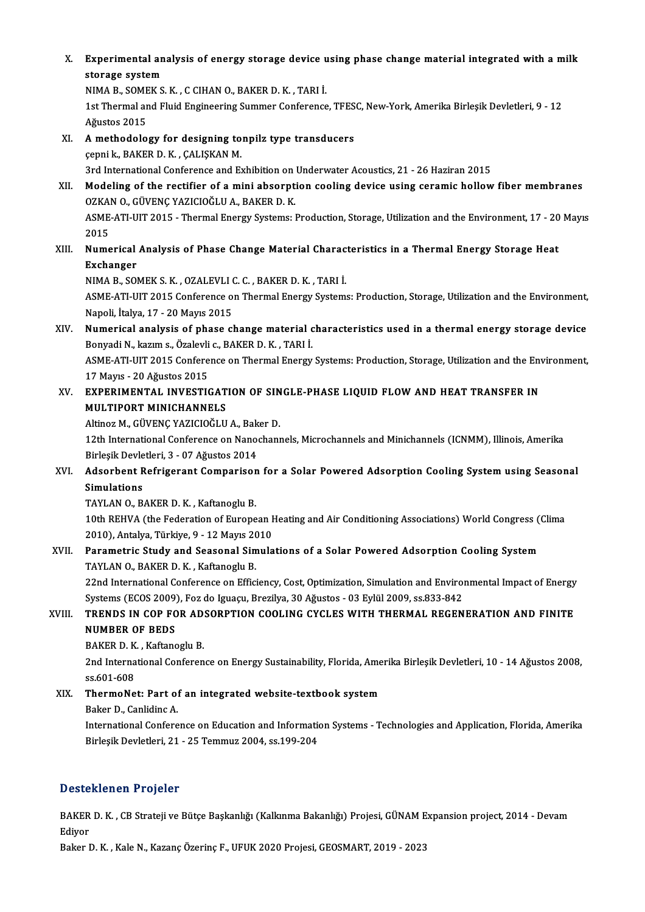X. Experimental analysis of energy storage device using phase change material integrated with a milk<br>stanges system Experimental an<br>storage system<br>NIMA P. SOMEV S Experimental analysis of energy storage device u<br>storage system<br>NIMA B., SOMEK S. K. , C CIHAN 0., BAKER D. K. , TARI İ.<br>1st Thermal and Eluid Engineering Summar Conference

storage system<br>NIMA B., SOMEK S. K. , C CIHAN O., BAKER D. K. , TARI İ.<br>1st Thermal and Fluid Engineering Summer Conference, TFESC, New-York, Amerika Birleşik Devletleri, 9 - 12 Ağustos 2015 1st Thermal and Fluid Engineering Summer Conference, TFES<br>Ağustos 2015<br>XI. A methodology for designing tonpilz type transducers<br>conpile BAKER D K. CALISKAN M

Ağustos 2015<br>A methodology for designing to<br>çepnik., BAKER D.K. , ÇALIŞKAN M.<br>2rd International Conference and Ex 3rd InternationalConference andExhibitiononUnderwaterAcoustics,21 -26Haziran2015

Gepni k., BAKER D. K. , ÇALIŞKAN M.<br>3rd International Conference and Exhibition on Underwater Acoustics, 21 - 26 Haziran 2015<br>XII. Modeling of the rectifier of a mini absorption cooling device using ceramic hollow fiber me 3rd International Conference and Exhibition on<br>Modeling of the rectifier of a mini absorpt<br>OZKAN O., GÜVENÇ YAZICIOĞLU A., BAKER D. K.<br>ASME ATI ULT 2015 - Thermal Energy Systems: L Modeling of the rectifier of a mini absorption cooling device using ceramic hollow fiber membranes<br>OZKAN O., GÜVENÇ YAZICIOĞLU A., BAKER D. K.<br>ASME-ATI-UIT 2015 - Thermal Energy Systems: Production, Storage, Utilization an OZKAN O., GÜVENÇ YAZICIOĞLU A., BAKER D. K.<br>ASME-ATI-UIT 2015 - Thermal Energy Systems: Production, Storage, Utilization and the Environment, 17 - 20 Mayıs<br>2015

ASME-ATI-UIT 2015 - Thermal Energy Systems: Production, Storage, Utilization and the Environment, 17 - 20<br>2015<br>XIII. Numerical Analysis of Phase Change Material Characteristics in a Thermal Energy Storage Heat<br>Exchanger 2015<br>Numerical<br>Exchanger<br>NIMA P. SOI Numerical Analysis of Phase Change Material Charac<br>Exchanger<br>NIMA B., SOMEK S. K. , OZALEVLI C. C. , BAKER D. K. , TARI İ.<br>ASME ATI UIT 2015 Conference en Thermal Energy System

NIMA B., SOMEK S. K., OZALEVLI C. C., BAKER D. K., TARI İ.

Exchanger<br>NIMA B., SOMEK S. K. , OZALEVLI C. C. , BAKER D. K. , TARI İ.<br>ASME-ATI-UIT 2015 Conference on Thermal Energy Systems: Production, Storage, Utilization and the Environment,<br>Napoli, İtalya, 17 - 20 Mayıs 2015 ASME-ATI-UIT 2015 Conference on Thermal Energy Systems: Production, Storage, Utilization and the Environment,<br>Napoli, İtalya, 17 - 20 Mayıs 2015<br>XIV. Numerical analysis of phase change material characteristics used in a th

Napoli, İtalya, 17 - 20 Mayıs 2015<br>**Numerical analysis of phase change material c.**<br>Bonyadi N., kazım s., Özalevli c., BAKER D. K. , TARI İ.<br>ASME ATI UIT 2015 Conforence en Thermal Frerey. Numerical analysis of phase change material characteristics used in a thermal energy storage device<br>Bonyadi N., kazım s., Özalevli c., BAKER D. K. , TARI İ.<br>ASME-ATI-UIT 2015 Conference on Thermal Energy Systems: Productio

Bonyadi N., kazım s., Özalevli<br>ASME-ATI-UIT 2015 Confere<br>17 Mayıs - 20 Ağustos 2015<br>EYPEPIMENTAL INVESTIC ASME-ATI-UIT 2015 Conference on Thermal Energy Systems: Production, Storage, Utilization and the Env<br>17 Mayıs - 20 Ağustos 2015<br>XV. EXPERIMENTAL INVESTIGATION OF SINGLE-PHASE LIQUID FLOW AND HEAT TRANSFER IN<br>MILITIPOPT MIN

17 Mayıs - 20 Ağustos 2015<br>EXPERIMENTAL INVESTIGAT<br>MULTIPORT MINICHANNELS<br>Altinor M. GÜVENC YAZICIQĞI II EXPERIMENTAL INVESTIGATION OF SIN<br>MULTIPORT MINICHANNELS<br>Altinoz M., GÜVENÇ YAZICIOĞLU A., Baker D.<br>12th International Conference on Nanochann

MULTIPORT MINICHANNELS<br>Altinoz M., GÜVENÇ YAZICIOĞLU A., Baker D.<br>12th International Conference on Nanochannels, Microchannels and Minichannels (ICNMM), Illinois, Amerika<br>Birleşik Devletleri, 3 - 07 Ağustos 2014 Altinoz M., GÜVENÇ YAZICIOĞLU A., Bak<br>12th International Conference on Nano<br>Birleşik Devletleri, 3 - 07 Ağustos 2014<br>Adsorbant Befrigerant Companisan 12th International Conference on Nanochannels, Microchannels and Minichannels (ICNMM), Illinois, Amerika<br>Birleşik Devletleri, 3 - 07 Ağustos 2014<br>XVI. Adsorbent Refrigerant Comparison for a Solar Powered Adsorption Cooling

Birleşik Devle<br>Adsorbent R<br>Simulations<br>TAVLAN O-R Adsorbent Refrigerant Comparisor<br>Simulations<br>TAYLAN 0., BAKER D. K. , Kaftanoglu B.<br>10th BEWLA (the Ecderation of Europe

Simulations<br>TAYLAN 0., BAKER D. K. , Kaftanoglu B.<br>10th REHVA (the Federation of European Heating and Air Conditioning Associations) World Congress (Clima<br>2010), Antalya Türkiya 9, .13 Mayıs 2010 TAYLAN O., BAKER D. K. , Kaftanoglu B.<br>10th REHVA (the Federation of European I<br>2010), Antalya, Türkiye, 9 - 12 Mayıs 2010<br>Baramatria Study and Seasonal Simula 10th REHVA (the Federation of European Heating and Air Conditioning Associations) World Congress (<br>2010), Antalya, Türkiye, 9 - 12 Mayıs 2010<br>XVII. Parametric Study and Seasonal Simulations of a Solar Powered Adsorption Co

2010), Antalya, Türkiye, 9 - 12 Mayıs 20<br>**Parametric Study and Seasonal Sim<br>TAYLAN O., BAKER D. K. , Kaftanoglu B.**<br>22nd International Conference on Effici Parametric Study and Seasonal Simulations of a Solar Powered Adsorption Cooling System<br>TAYLAN 0., BAKER D. K. , Kaftanoglu B.<br>22nd International Conference on Efficiency, Cost, Optimization, Simulation and Environmental Im

TAYLAN O., BAKER D. K. , Kaftanoglu B.<br>22nd International Conference on Efficiency, Cost, Optimization, Simulation and Envirol<br>Systems (ECOS 2009), Foz do Iguaçu, Brezilya, 30 Ağustos - 03 Eylül 2009, ss.833-842<br>TRENDS JN 22nd International Conference on Efficiency, Cost, Optimization, Simulation and Environmental Impact of Energy<br>Systems (ECOS 2009), Foz do Iguaçu, Brezilya, 30 Ağustos - 03 Eylül 2009, ss.833-842<br>XVIII. TRENDS IN COP F

# Systems (ECOS 2009)<br>TRENDS IN COP FO<br>NUMBER OF BEDS<br>BAKER D K. Koftang TRENDS IN COP FOR AD.<br>NUMBER OF BEDS<br>BAKER D. K. , Kaftanoglu B.<br>2nd International Conferen

NUMBER OF BEDS<br>BAKER D. K. , Kaftanoglu B.<br>2nd International Conference on Energy Sustainability, Florida, Amerika Birleşik Devletleri, 10 - 14 Ağustos 2008,<br>95.601.609 BAKER D. K<br>2nd Interna<br>ss.601-608<br>ThermeNe 2nd International Conference on Energy Sustainability, Florida, Ame<br>ss.601-608<br>XIX. ThermoNet: Part of an integrated website-textbook system<br>Rakar D. Caplidina A.

# ss.601-608<br>ThermoNet: Part of an integrated website-textbook system<br>Baker D., Canlidinc A.

International Conference on Education and Information Systems - Technologies and Application, Florida, Amerika BirleşikDevletleri,21 -25Temmuz2004, ss.199-204

## Desteklenen Projeler

Desteklenen Projeler<br>BAKER D. K. , CB Strateji ve Bütçe Başkanlığı (Kalkınma Bakanlığı) Projesi, GÜNAM Expansion project, 2014 - Devam<br>Ediyor Besee<br>BAKER<br>Ediyor BAKER D. K. , CB Strateji ve Bütçe Başkanlığı (Kalkınma Bakanlığı) Projesi, GÜNAM E<br>Ediyor<br>Baker D. K. , Kale N., Kazanç Özerinç F., UFUK 2020 Projesi, GEOSMART, 2019 - 2023